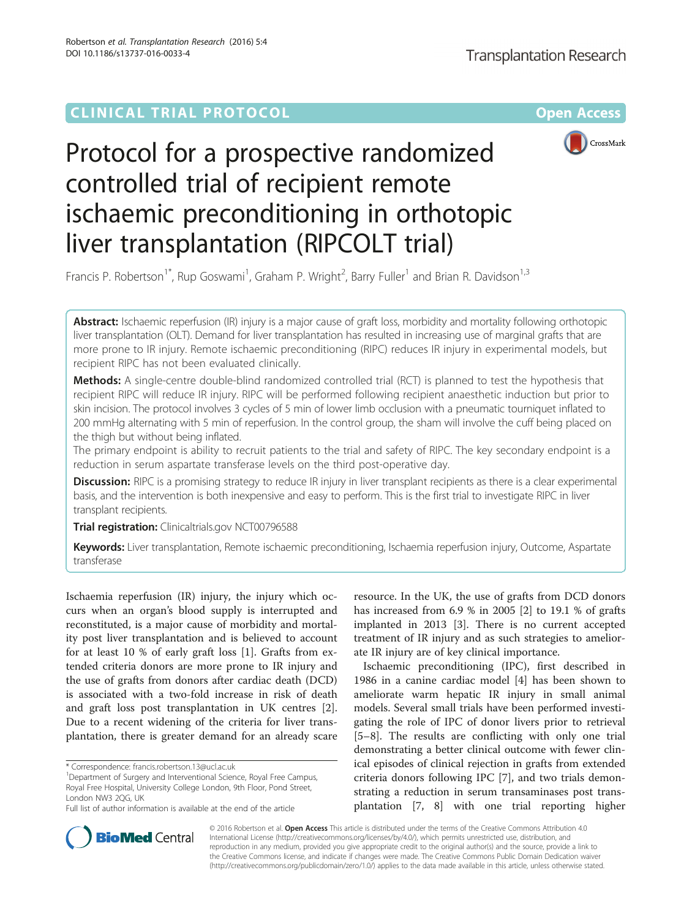# **CLINICAL TRIAL PROTOCOL CLINICAL TRIAL PROTOCOL**



# Protocol for a prospective randomized controlled trial of recipient remote ischaemic preconditioning in orthotopic liver transplantation (RIPCOLT trial)

Francis P. Robertson<sup>1\*</sup>, Rup Goswami<sup>1</sup>, Graham P. Wright<sup>2</sup>, Barry Fuller<sup>1</sup> and Brian R. Davidson<sup>1,3</sup>

Abstract: Ischaemic reperfusion (IR) injury is a major cause of graft loss, morbidity and mortality following orthotopic liver transplantation (OLT). Demand for liver transplantation has resulted in increasing use of marginal grafts that are more prone to IR injury. Remote ischaemic preconditioning (RIPC) reduces IR injury in experimental models, but recipient RIPC has not been evaluated clinically.

Methods: A single-centre double-blind randomized controlled trial (RCT) is planned to test the hypothesis that recipient RIPC will reduce IR injury. RIPC will be performed following recipient anaesthetic induction but prior to skin incision. The protocol involves 3 cycles of 5 min of lower limb occlusion with a pneumatic tourniquet inflated to 200 mmHg alternating with 5 min of reperfusion. In the control group, the sham will involve the cuff being placed on the thigh but without being inflated.

The primary endpoint is ability to recruit patients to the trial and safety of RIPC. The key secondary endpoint is a reduction in serum aspartate transferase levels on the third post-operative day.

**Discussion:** RIPC is a promising strategy to reduce IR injury in liver transplant recipients as there is a clear experimental basis, and the intervention is both inexpensive and easy to perform. This is the first trial to investigate RIPC in liver transplant recipients.

Trial registration: Clinicaltrials.gov [NCT00796588](https://clinicaltrials.gov/ct2/show/NCT00796588)

Keywords: Liver transplantation, Remote ischaemic preconditioning, Ischaemia reperfusion injury, Outcome, Aspartate transferase

Ischaemia reperfusion (IR) injury, the injury which occurs when an organ's blood supply is interrupted and reconstituted, is a major cause of morbidity and mortality post liver transplantation and is believed to account for at least 10 % of early graft loss [[1\]](#page-4-0). Grafts from extended criteria donors are more prone to IR injury and the use of grafts from donors after cardiac death (DCD) is associated with a two-fold increase in risk of death and graft loss post transplantation in UK centres [\[2](#page-4-0)]. Due to a recent widening of the criteria for liver transplantation, there is greater demand for an already scare

resource. In the UK, the use of grafts from DCD donors has increased from 6.9 % in 2005 [\[2](#page-4-0)] to 19.1 % of grafts implanted in 2013 [[3](#page-4-0)]. There is no current accepted treatment of IR injury and as such strategies to ameliorate IR injury are of key clinical importance.

Ischaemic preconditioning (IPC), first described in 1986 in a canine cardiac model [\[4](#page-4-0)] has been shown to ameliorate warm hepatic IR injury in small animal models. Several small trials have been performed investigating the role of IPC of donor livers prior to retrieval [[5](#page-4-0)–[8\]](#page-4-0). The results are conflicting with only one trial demonstrating a better clinical outcome with fewer clinical episodes of clinical rejection in grafts from extended criteria donors following IPC [\[7](#page-4-0)], and two trials demonstrating a reduction in serum transaminases post transplantation [\[7, 8\]](#page-4-0) with one trial reporting higher



© 2016 Robertson et al. Open Access This article is distributed under the terms of the Creative Commons Attribution 4.0 International License [\(http://creativecommons.org/licenses/by/4.0/](http://creativecommons.org/licenses/by/4.0/)), which permits unrestricted use, distribution, and reproduction in any medium, provided you give appropriate credit to the original author(s) and the source, provide a link to the Creative Commons license, and indicate if changes were made. The Creative Commons Public Domain Dedication waiver [\(http://creativecommons.org/publicdomain/zero/1.0/](http://creativecommons.org/publicdomain/zero/1.0/)) applies to the data made available in this article, unless otherwise stated.

<sup>\*</sup> Correspondence: [francis.robertson.13@ucl.ac.uk](mailto:francis.robertson.13@ucl.ac.uk) <sup>1</sup>

<sup>&</sup>lt;sup>1</sup>Department of Surgery and Interventional Science, Royal Free Campus, Royal Free Hospital, University College London, 9th Floor, Pond Street, London NW3 2QG, UK

Full list of author information is available at the end of the article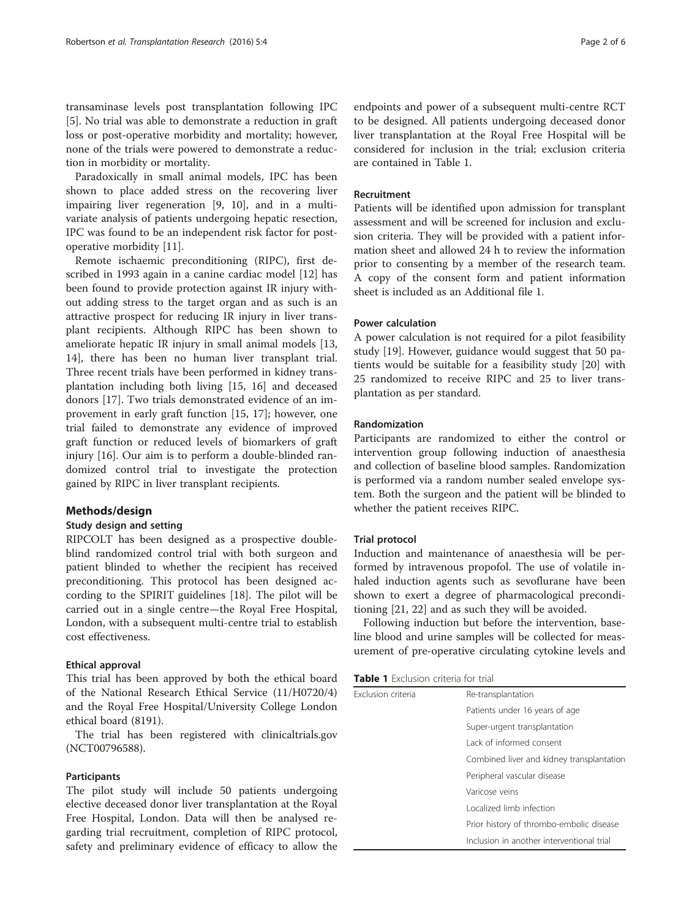transaminase levels post transplantation following IPC [[5\]](#page-4-0). No trial was able to demonstrate a reduction in graft loss or post-operative morbidity and mortality; however, none of the trials were powered to demonstrate a reduction in morbidity or mortality.

Paradoxically in small animal models, IPC has been shown to place added stress on the recovering liver impairing liver regeneration [[9, 10\]](#page-4-0), and in a multivariate analysis of patients undergoing hepatic resection, IPC was found to be an independent risk factor for postoperative morbidity [\[11\]](#page-4-0).

Remote ischaemic preconditioning (RIPC), first described in 1993 again in a canine cardiac model [[12\]](#page-4-0) has been found to provide protection against IR injury without adding stress to the target organ and as such is an attractive prospect for reducing IR injury in liver transplant recipients. Although RIPC has been shown to ameliorate hepatic IR injury in small animal models [[13](#page-4-0), [14\]](#page-4-0), there has been no human liver transplant trial. Three recent trials have been performed in kidney transplantation including both living [[15, 16](#page-4-0)] and deceased donors [\[17](#page-4-0)]. Two trials demonstrated evidence of an improvement in early graft function [\[15, 17](#page-4-0)]; however, one trial failed to demonstrate any evidence of improved graft function or reduced levels of biomarkers of graft injury [[16\]](#page-4-0). Our aim is to perform a double-blinded randomized control trial to investigate the protection gained by RIPC in liver transplant recipients.

# Methods/design

# Study design and setting

RIPCOLT has been designed as a prospective doubleblind randomized control trial with both surgeon and patient blinded to whether the recipient has received preconditioning. This protocol has been designed according to the SPIRIT guidelines [\[18](#page-5-0)]. The pilot will be carried out in a single centre—the Royal Free Hospital, London, with a subsequent multi-centre trial to establish cost effectiveness.

# Ethical approval

This trial has been approved by both the ethical board of the National Research Ethical Service (11/H0720/4) and the Royal Free Hospital/University College London ethical board (8191).

The trial has been registered with clinicaltrials.gov ([NCT00796588](http://www.clinicaltrials.gov/NCT00796588)).

# Participants

The pilot study will include 50 patients undergoing elective deceased donor liver transplantation at the Royal Free Hospital, London. Data will then be analysed regarding trial recruitment, completion of RIPC protocol, safety and preliminary evidence of efficacy to allow the

endpoints and power of a subsequent multi-centre RCT to be designed. All patients undergoing deceased donor liver transplantation at the Royal Free Hospital will be considered for inclusion in the trial; exclusion criteria are contained in Table 1.

# Recruitment

Patients will be identified upon admission for transplant assessment and will be screened for inclusion and exclusion criteria. They will be provided with a patient information sheet and allowed 24 h to review the information prior to consenting by a member of the research team. A copy of the consent form and patient information sheet is included as an Additional file [1](#page-4-0).

# Power calculation

A power calculation is not required for a pilot feasibility study [[19\]](#page-5-0). However, guidance would suggest that 50 patients would be suitable for a feasibility study [[20\]](#page-5-0) with 25 randomized to receive RIPC and 25 to liver transplantation as per standard.

# Randomization

Participants are randomized to either the control or intervention group following induction of anaesthesia and collection of baseline blood samples. Randomization is performed via a random number sealed envelope system. Both the surgeon and the patient will be blinded to whether the patient receives RIPC.

# Trial protocol

Induction and maintenance of anaesthesia will be performed by intravenous propofol. The use of volatile inhaled induction agents such as sevoflurane have been shown to exert a degree of pharmacological preconditioning [[21, 22](#page-5-0)] and as such they will be avoided.

Following induction but before the intervention, baseline blood and urine samples will be collected for measurement of pre-operative circulating cytokine levels and

Table 1 Exclusion criteria for trial

| Exclusion criteria | Re-transplantation                        |
|--------------------|-------------------------------------------|
|                    | Patients under 16 years of age            |
|                    | Super-urgent transplantation              |
|                    | Lack of informed consent                  |
|                    | Combined liver and kidney transplantation |
|                    | Peripheral vascular disease               |
|                    | Varicose veins                            |
|                    | Localized limb infection                  |
|                    | Prior history of thrombo-embolic disease  |
|                    | Inclusion in another interventional trial |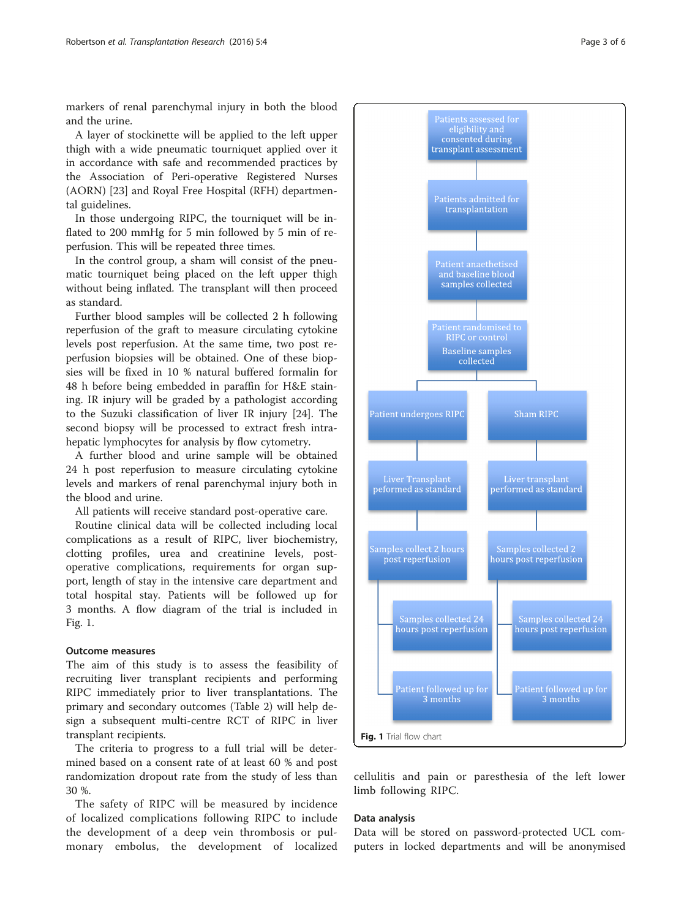markers of renal parenchymal injury in both the blood and the urine.

A layer of stockinette will be applied to the left upper thigh with a wide pneumatic tourniquet applied over it in accordance with safe and recommended practices by the Association of Peri-operative Registered Nurses (AORN) [\[23](#page-5-0)] and Royal Free Hospital (RFH) departmental guidelines.

In those undergoing RIPC, the tourniquet will be inflated to 200 mmHg for 5 min followed by 5 min of reperfusion. This will be repeated three times.

In the control group, a sham will consist of the pneumatic tourniquet being placed on the left upper thigh without being inflated. The transplant will then proceed as standard.

Further blood samples will be collected 2 h following reperfusion of the graft to measure circulating cytokine levels post reperfusion. At the same time, two post reperfusion biopsies will be obtained. One of these biopsies will be fixed in 10 % natural buffered formalin for 48 h before being embedded in paraffin for H&E staining. IR injury will be graded by a pathologist according to the Suzuki classification of liver IR injury [[24\]](#page-5-0). The second biopsy will be processed to extract fresh intrahepatic lymphocytes for analysis by flow cytometry.

A further blood and urine sample will be obtained 24 h post reperfusion to measure circulating cytokine levels and markers of renal parenchymal injury both in the blood and urine.

All patients will receive standard post-operative care.

Routine clinical data will be collected including local complications as a result of RIPC, liver biochemistry, clotting profiles, urea and creatinine levels, postoperative complications, requirements for organ support, length of stay in the intensive care department and total hospital stay. Patients will be followed up for 3 months. A flow diagram of the trial is included in Fig. 1.

#### Outcome measures

The aim of this study is to assess the feasibility of recruiting liver transplant recipients and performing RIPC immediately prior to liver transplantations. The primary and secondary outcomes (Table [2\)](#page-3-0) will help design a subsequent multi-centre RCT of RIPC in liver transplant recipients.

The criteria to progress to a full trial will be determined based on a consent rate of at least 60 % and post randomization dropout rate from the study of less than 30 %.

The safety of RIPC will be measured by incidence of localized complications following RIPC to include the development of a deep vein thrombosis or pulmonary embolus, the development of localized



cellulitis and pain or paresthesia of the left lower limb following RIPC.

## Data analysis

Data will be stored on password-protected UCL computers in locked departments and will be anonymised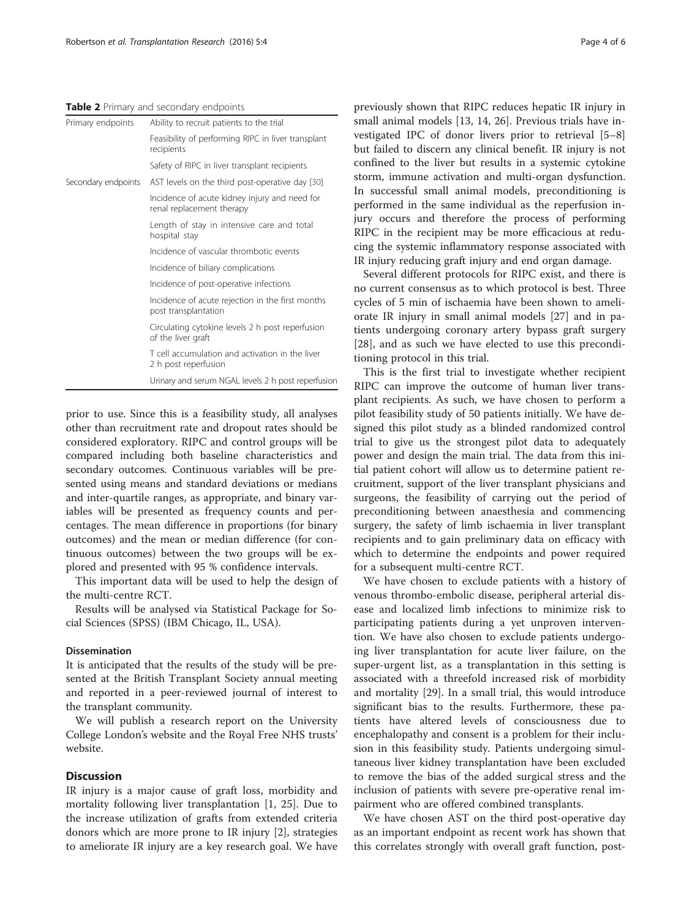<span id="page-3-0"></span>Table 2 Primary and secondary endpoints

| Primary endpoints   | Ability to recruit patients to the trial                                   |
|---------------------|----------------------------------------------------------------------------|
|                     | Feasibility of performing RIPC in liver transplant<br>recipients           |
|                     | Safety of RIPC in liver transplant recipients                              |
| Secondary endpoints | AST levels on the third post-operative day [30]                            |
|                     | Incidence of acute kidney injury and need for<br>renal replacement therapy |
|                     | Length of stay in intensive care and total<br>hospital stay                |
|                     | Incidence of vascular thrombotic events                                    |
|                     | Incidence of biliary complications                                         |
|                     | Incidence of post-operative infections                                     |
|                     | Incidence of acute rejection in the first months<br>post transplantation   |
|                     | Circulating cytokine levels 2 h post reperfusion<br>of the liver graft     |
|                     | T cell accumulation and activation in the liver<br>2 h post reperfusion    |
|                     | Urinary and serum NGAL levels 2 h post reperfusion                         |

prior to use. Since this is a feasibility study, all analyses other than recruitment rate and dropout rates should be considered exploratory. RIPC and control groups will be compared including both baseline characteristics and secondary outcomes. Continuous variables will be presented using means and standard deviations or medians and inter-quartile ranges, as appropriate, and binary variables will be presented as frequency counts and percentages. The mean difference in proportions (for binary outcomes) and the mean or median difference (for continuous outcomes) between the two groups will be explored and presented with 95 % confidence intervals.

This important data will be used to help the design of the multi-centre RCT.

Results will be analysed via Statistical Package for Social Sciences (SPSS) (IBM Chicago, IL, USA).

#### Dissemination

It is anticipated that the results of the study will be presented at the British Transplant Society annual meeting and reported in a peer-reviewed journal of interest to the transplant community.

We will publish a research report on the University College London's website and the Royal Free NHS trusts' website.

# **Discussion**

IR injury is a major cause of graft loss, morbidity and mortality following liver transplantation [[1,](#page-4-0) [25\]](#page-5-0). Due to the increase utilization of grafts from extended criteria donors which are more prone to IR injury [[2\]](#page-4-0), strategies to ameliorate IR injury are a key research goal. We have previously shown that RIPC reduces hepatic IR injury in small animal models [[13](#page-4-0), [14](#page-4-0), [26\]](#page-5-0). Previous trials have investigated IPC of donor livers prior to retrieval [[5](#page-4-0)–[8](#page-4-0)] but failed to discern any clinical benefit. IR injury is not confined to the liver but results in a systemic cytokine storm, immune activation and multi-organ dysfunction. In successful small animal models, preconditioning is performed in the same individual as the reperfusion injury occurs and therefore the process of performing RIPC in the recipient may be more efficacious at reducing the systemic inflammatory response associated with IR injury reducing graft injury and end organ damage.

Several different protocols for RIPC exist, and there is no current consensus as to which protocol is best. Three cycles of 5 min of ischaemia have been shown to ameliorate IR injury in small animal models [[27\]](#page-5-0) and in patients undergoing coronary artery bypass graft surgery [[28\]](#page-5-0), and as such we have elected to use this preconditioning protocol in this trial.

This is the first trial to investigate whether recipient RIPC can improve the outcome of human liver transplant recipients. As such, we have chosen to perform a pilot feasibility study of 50 patients initially. We have designed this pilot study as a blinded randomized control trial to give us the strongest pilot data to adequately power and design the main trial. The data from this initial patient cohort will allow us to determine patient recruitment, support of the liver transplant physicians and surgeons, the feasibility of carrying out the period of preconditioning between anaesthesia and commencing surgery, the safety of limb ischaemia in liver transplant recipients and to gain preliminary data on efficacy with which to determine the endpoints and power required for a subsequent multi-centre RCT.

We have chosen to exclude patients with a history of venous thrombo-embolic disease, peripheral arterial disease and localized limb infections to minimize risk to participating patients during a yet unproven intervention. We have also chosen to exclude patients undergoing liver transplantation for acute liver failure, on the super-urgent list, as a transplantation in this setting is associated with a threefold increased risk of morbidity and mortality [\[29\]](#page-5-0). In a small trial, this would introduce significant bias to the results. Furthermore, these patients have altered levels of consciousness due to encephalopathy and consent is a problem for their inclusion in this feasibility study. Patients undergoing simultaneous liver kidney transplantation have been excluded to remove the bias of the added surgical stress and the inclusion of patients with severe pre-operative renal impairment who are offered combined transplants.

We have chosen AST on the third post-operative day as an important endpoint as recent work has shown that this correlates strongly with overall graft function, post-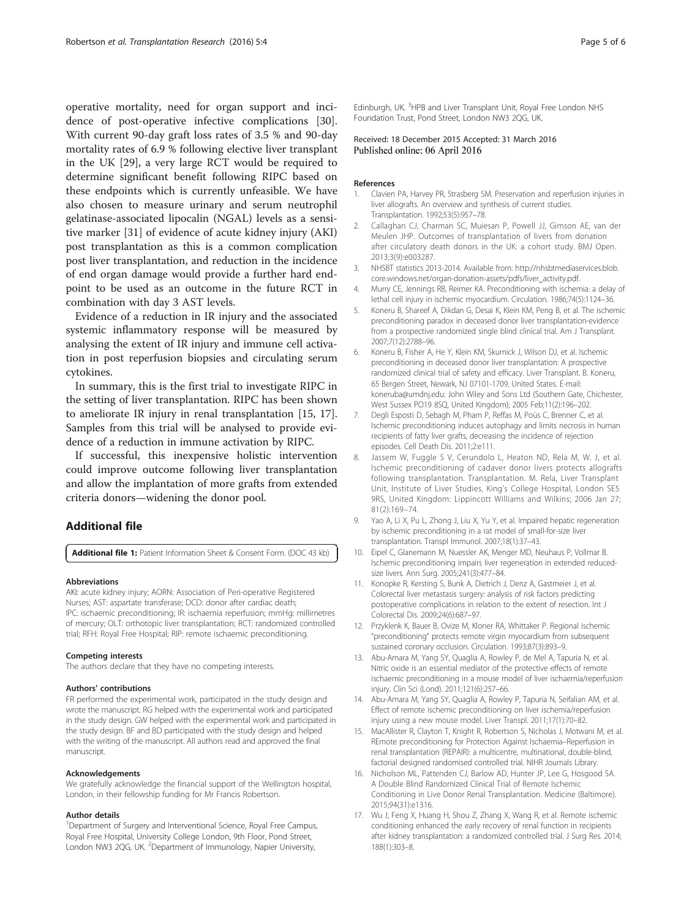<span id="page-4-0"></span>operative mortality, need for organ support and incidence of post-operative infective complications [\[30](#page-5-0)]. With current 90-day graft loss rates of 3.5 % and 90-day mortality rates of 6.9 % following elective liver transplant in the UK [\[29](#page-5-0)], a very large RCT would be required to determine significant benefit following RIPC based on these endpoints which is currently unfeasible. We have also chosen to measure urinary and serum neutrophil gelatinase-associated lipocalin (NGAL) levels as a sensitive marker [[31\]](#page-5-0) of evidence of acute kidney injury (AKI) post transplantation as this is a common complication post liver transplantation, and reduction in the incidence of end organ damage would provide a further hard endpoint to be used as an outcome in the future RCT in combination with day 3 AST levels.

Evidence of a reduction in IR injury and the associated systemic inflammatory response will be measured by analysing the extent of IR injury and immune cell activation in post reperfusion biopsies and circulating serum cytokines.

In summary, this is the first trial to investigate RIPC in the setting of liver transplantation. RIPC has been shown to ameliorate IR injury in renal transplantation [15, 17]. Samples from this trial will be analysed to provide evidence of a reduction in immune activation by RIPC.

If successful, this inexpensive holistic intervention could improve outcome following liver transplantation and allow the implantation of more grafts from extended criteria donors—widening the donor pool.

# Additional file

[Additional file 1:](dx.doi.org/10.1186/s13737-016-0033-4) Patient Information Sheet & Consent Form. (DOC 43 kb)

#### Abbreviations

AKI: acute kidney injury; AORN: Association of Peri-operative Registered Nurses; AST: aspartate transferase; DCD: donor after cardiac death; IPC: ischaemic preconditioning; IR: ischaemia reperfusion; mmHg: millimetres of mercury; OLT: orthotopic liver transplantation; RCT: randomized controlled trial; RFH: Royal Free Hospital; RIP: remote ischaemic preconditioning.

#### Competing interests

The authors declare that they have no competing interests.

#### Authors' contributions

FR performed the experimental work, participated in the study design and wrote the manuscript. RG helped with the experimental work and participated in the study design. GW helped with the experimental work and participated in the study design. BF and BD participated with the study design and helped with the writing of the manuscript. All authors read and approved the final manuscript.

#### Acknowledgements

We gratefully acknowledge the financial support of the Wellington hospital, London, in their fellowship funding for Mr Francis Robertson.

#### Author details

<sup>1</sup>Department of Surgery and Interventional Science, Royal Free Campus, Royal Free Hospital, University College London, 9th Floor, Pond Street, London NW3 2QG, UK. <sup>2</sup>Department of Immunology, Napier University,

Edinburgh, UK.<sup>3</sup>HPB and Liver Transplant Unit, Royal Free London NHS Foundation Trust, Pond Street, London NW3 2QG, UK.

# Received: 18 December 2015 Accepted: 31 March 2016 Published online: 06 April 2016

#### References

- 1. Clavien PA, Harvey PR, Strasberg SM. Preservation and reperfusion injuries in liver allografts. An overview and synthesis of current studies. Transplantation. 1992;53(5):957–78.
- 2. Callaghan CJ, Charman SC, Muiesan P, Powell JJ, Gimson AE, van der Meulen JHP. Outcomes of transplantation of livers from donation after circulatory death donors in the UK: a cohort study. BMJ Open. 2013;3(9):e003287.
- 3. NHSBT statistics 2013-2014. Available from: [http://nhsbtmediaservices.blob.](http://nhsbtmediaservices.blob.core.windows.net/organ-donation-assets/pdfs/liver_activity.pdf) [core.windows.net/organ-donation-assets/pdfs/liver\\_activity.pdf](http://nhsbtmediaservices.blob.core.windows.net/organ-donation-assets/pdfs/liver_activity.pdf).
- 4. Murry CE, Jennings RB, Reimer KA. Preconditioning with ischemia: a delay of lethal cell injury in ischemic myocardium. Circulation. 1986;74(5):1124–36.
- Koneru B, Shareef A, Dikdan G, Desai K, Klein KM, Peng B, et al. The ischemic preconditioning paradox in deceased donor liver transplantation-evidence from a prospective randomized single blind clinical trial. Am J Transplant. 2007;7(12):2788–96.
- 6. Koneru B, Fisher A, He Y, Klein KM, Skurnick J, Wilson DJ, et al. Ischemic preconditioning in deceased donor liver transplantation: A prospective randomized clinical trial of safety and efficacy. Liver Transplant. B. Koneru, 65 Bergen Street, Newark, NJ 07101-1709, United States. E-mail: koneruba@umdnj.edu: John Wiley and Sons Ltd (Southern Gate, Chichester, West Sussex PO19 8SQ, United Kingdom); 2005 Feb;11(2):196–202.
- 7. Degli Esposti D, Sebagh M, Pham P, Reffas M, Poüs C, Brenner C, et al. Ischemic preconditioning induces autophagy and limits necrosis in human recipients of fatty liver grafts, decreasing the incidence of rejection episodes. Cell Death Dis. 2011;2:e111.
- 8. Jassem W, Fuggle S V, Cerundolo L, Heaton ND, Rela M, W. J, et al. Ischemic preconditioning of cadaver donor livers protects allografts following transplantation. Transplantation. M. Rela, Liver Transplant Unit, Institute of Liver Studies, King's College Hospital, London SE5 9RS, United Kingdom: Lippincott Williams and Wilkins; 2006 Jan 27; 81(2):169–74.
- 9. Yao A, Li X, Pu L, Zhong J, Liu X, Yu Y, et al. Impaired hepatic regeneration by ischemic preconditioning in a rat model of small-for-size liver transplantation. Transpl Immunol. 2007;18(1):37–43.
- 10. Eipel C, Glanemann M, Nuessler AK, Menger MD, Neuhaus P, Vollmar B. Ischemic preconditioning impairs liver regeneration in extended reducedsize livers. Ann Surg. 2005;241(3):477–84.
- 11. Konopke R, Kersting S, Bunk A, Dietrich J, Denz A, Gastmeier J, et al. Colorectal liver metastasis surgery: analysis of risk factors predicting postoperative complications in relation to the extent of resection. Int J Colorectal Dis. 2009;24(6):687–97.
- 12. Przyklenk K, Bauer B, Ovize M, Kloner RA, Whittaker P. Regional ischemic "preconditioning" protects remote virgin myocardium from subsequent sustained coronary occlusion. Circulation. 1993;87(3):893–9.
- 13. Abu-Amara M, Yang SY, Quaglia A, Rowley P, de Mel A, Tapuria N, et al. Nitric oxide is an essential mediator of the protective effects of remote ischaemic preconditioning in a mouse model of liver ischaemia/reperfusion injury. Clin Sci (Lond). 2011;121(6):257–66.
- 14. Abu-Amara M, Yang SY, Quaglia A, Rowley P, Tapuria N, Seifalian AM, et al. Effect of remote ischemic preconditioning on liver ischemia/reperfusion injury using a new mouse model. Liver Transpl. 2011;17(1):70–82.
- 15. MacAllister R, Clayton T, Knight R, Robertson S, Nicholas J, Motwani M, et al. REmote preconditioning for Protection Against Ischaemia–Reperfusion in renal transplantation (REPAIR): a multicentre, multinational, double-blind, factorial designed randomised controlled trial. NIHR Journals Library.
- 16. Nicholson ML, Pattenden CJ, Barlow AD, Hunter JP, Lee G, Hosgood SA. A Double Blind Randomized Clinical Trial of Remote Ischemic Conditioning in Live Donor Renal Transplantation. Medicine (Baltimore). 2015;94(31):e1316.
- 17. Wu J, Feng X, Huang H, Shou Z, Zhang X, Wang R, et al. Remote ischemic conditioning enhanced the early recovery of renal function in recipients after kidney transplantation: a randomized controlled trial. J Surg Res. 2014; 188(1):303–8.